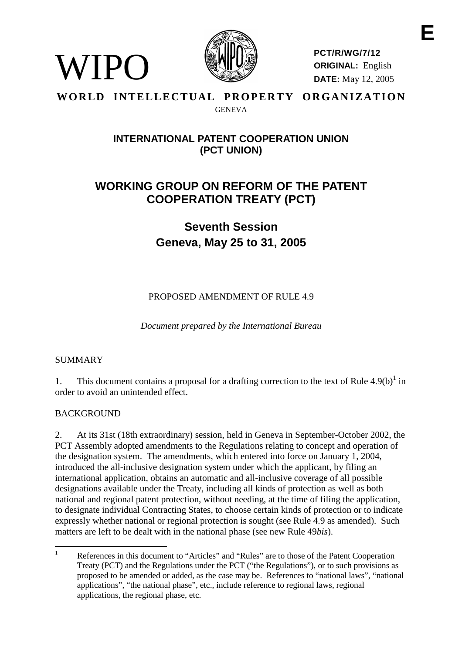

**PCT/R/WG/7/12 ORIGINAL:** English **DATE:** May 12, 2005

## WORLD INTELLECTUAL PROPERTY ORGANIZATION **GENEVA**

# **INTERNATIONAL PATENT COOPERATION UNION (PCT UNION)**

# **WORKING GROUP ON REFORM OF THE PATENT COOPERATION TREATY (PCT)**

**Seventh Session Geneva, May 25 to 31, 2005**

PROPOSED AMENDMENT OF RULE 4.9

*Document prepared by the International Bureau*

## SUMMARY

WIPO)

1. This document contains a proposal for a drafting correction to the text of Rule  $4.9(b)^{1}$  in order to avoid an unintended effect.

## **BACKGROUND**

2. At its 31st (18th extraordinary) session, held in Geneva in September-October 2002, the PCT Assembly adopted amendments to the Regulations relating to concept and operation of the designation system. The amendments, which entered into force on January 1, 2004, introduced the all-inclusive designation system under which the applicant, by filing an international application, obtains an automatic and all-inclusive coverage of all possible designations available under the Treaty, including all kinds of protection as well as both national and regional patent protection, without needing, at the time of filing the application, to designate individual Contracting States, to choose certain kinds of protection or to indicate expressly whether national or regional protection is sought (see Rule 4.9 as amended). Such matters are left to be dealt with in the national phase (see new Rule 49*bis*).

<sup>&</sup>lt;sup>1</sup> References in this document to "Articles" and "Rules" are to those of the Patent Cooperation Treaty (PCT) and the Regulations under the PCT ("the Regulations"), or to such provisions as proposed to be amended or added, as the case may be. References to "national laws", "national applications", "the national phase", etc., include reference to regional laws, regional applications, the regional phase, etc.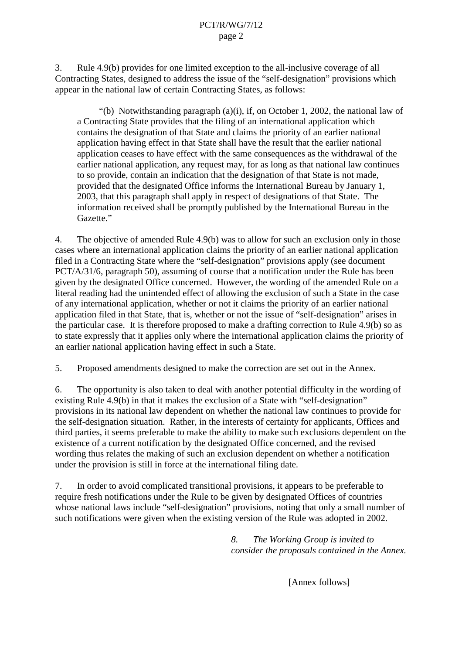3. Rule 4.9(b) provides for one limited exception to the all-inclusive coverage of all Contracting States, designed to address the issue of the "self-designation" provisions which appear in the national law of certain Contracting States, as follows:

"(b) Notwithstanding paragraph (a)(i), if, on October 1, 2002, the national law of a Contracting State provides that the filing of an international application which contains the designation of that State and claims the priority of an earlier national application having effect in that State shall have the result that the earlier national application ceases to have effect with the same consequences as the withdrawal of the earlier national application, any request may, for as long as that national law continues to so provide, contain an indication that the designation of that State is not made, provided that the designated Office informs the International Bureau by January 1, 2003, that this paragraph shall apply in respect of designations of that State. The information received shall be promptly published by the International Bureau in the Gazette."

4. The objective of amended Rule 4.9(b) was to allow for such an exclusion only in those cases where an international application claims the priority of an earlier national application filed in a Contracting State where the "self-designation" provisions apply (see document PCT/A/31/6, paragraph 50), assuming of course that a notification under the Rule has been given by the designated Office concerned. However, the wording of the amended Rule on a literal reading had the unintended effect of allowing the exclusion of such a State in the case of any international application, whether or not it claims the priority of an earlier national application filed in that State, that is, whether or not the issue of "self-designation" arises in the particular case. It is therefore proposed to make a drafting correction to Rule 4.9(b) so as to state expressly that it applies only where the international application claims the priority of an earlier national application having effect in such a State.

5. Proposed amendments designed to make the correction are set out in the Annex.

6. The opportunity is also taken to deal with another potential difficulty in the wording of existing Rule 4.9(b) in that it makes the exclusion of a State with "self-designation" provisions in its national law dependent on whether the national law continues to provide for the self-designation situation. Rather, in the interests of certainty for applicants, Offices and third parties, it seems preferable to make the ability to make such exclusions dependent on the existence of a current notification by the designated Office concerned, and the revised wording thus relates the making of such an exclusion dependent on whether a notification under the provision is still in force at the international filing date.

7. In order to avoid complicated transitional provisions, it appears to be preferable to require fresh notifications under the Rule to be given by designated Offices of countries whose national laws include "self-designation" provisions, noting that only a small number of such notifications were given when the existing version of the Rule was adopted in 2002.

> *8. The Working Group is invited to consider the proposals contained in the Annex.*

> > [Annex follows]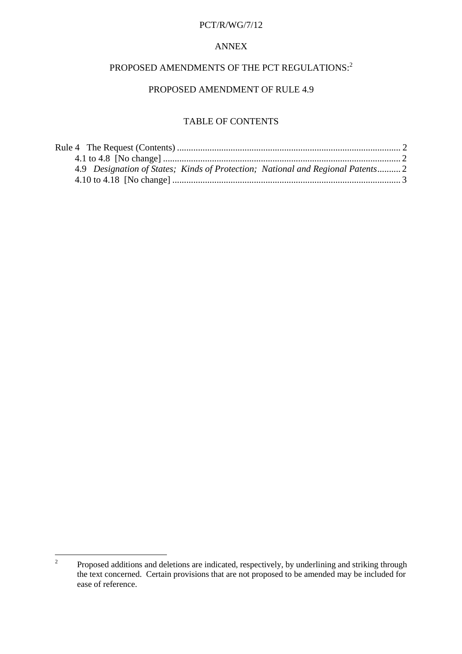#### PCT/R/WG/7/12

### ANNEX

# PROPOSED AMENDMENTS OF THE PCT REGULATIONS:<sup>2</sup>

## PROPOSED AMENDMENT OF RULE 4.9

## TABLE OF CONTENTS

| 4.9 Designation of States; Kinds of Protection; National and Regional Patents 2 |  |
|---------------------------------------------------------------------------------|--|
|                                                                                 |  |

<sup>&</sup>lt;sup>2</sup> Proposed additions and deletions are indicated, respectively, by underlining and striking through the text concerned. Certain provisions that are not proposed to be amended may be included for ease of reference.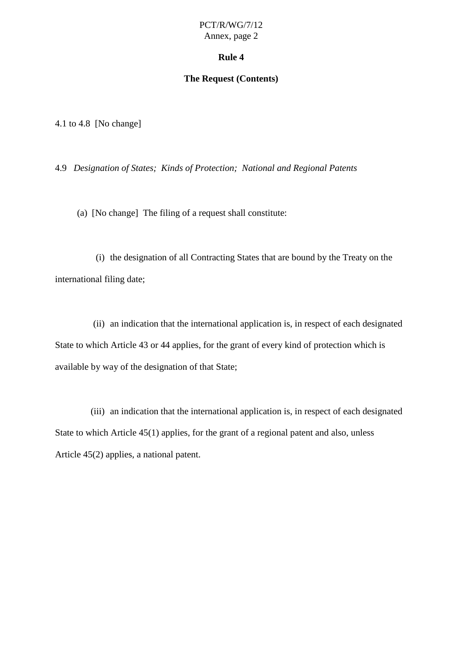### PCT/R/WG/7/12 Annex, page 2

### **Rule 4**

### **The Request (Contents)**

<span id="page-3-0"></span>4.1 to 4.8 [No change]

4.9 *Designation of States; Kinds of Protection; National and Regional Patents*

(a) [No change] The filing of a request shall constitute:

(i) the designation of all Contracting States that are bound by the Treaty on the international filing date;

(ii) an indication that the international application is, in respect of each designated State to which Article 43 or 44 applies, for the grant of every kind of protection which is available by way of the designation of that State;

(iii) an indication that the international application is, in respect of each designated State to which Article 45(1) applies, for the grant of a regional patent and also, unless Article 45(2) applies, a national patent.